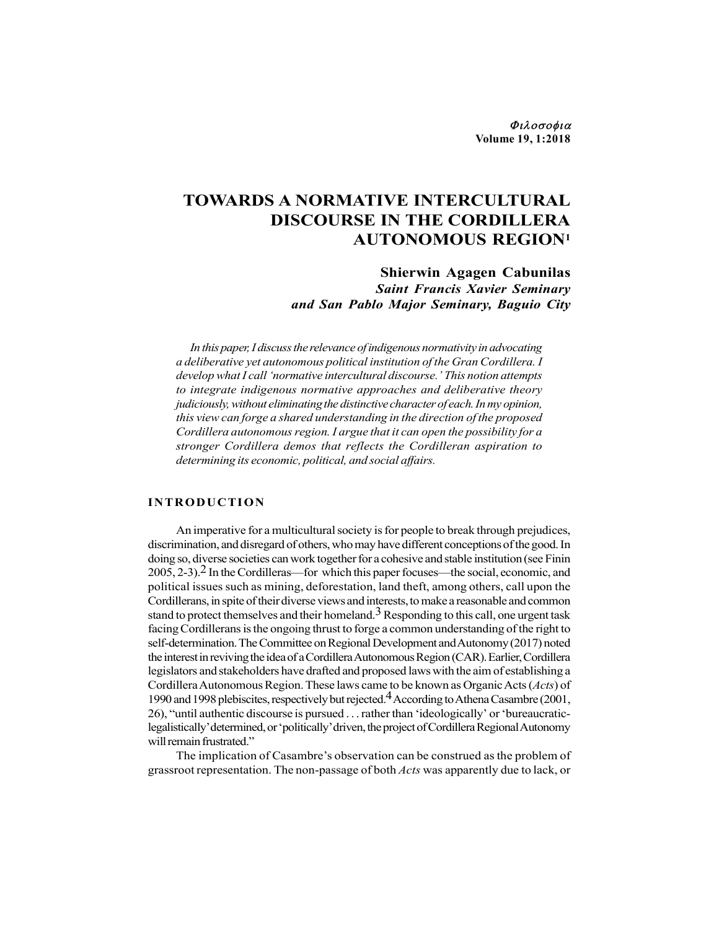Φιλοσοφια Volume 19, 1:2018

# TOWARDS A NORMATIVE INTERCULTURAL DISCOURSE IN THE CORDILLERA AUTONOMOUS REGION1

# Shierwin Agagen Cabunilas Saint Francis Xavier Seminary and San Pablo Major Seminary, Baguio City

In this paper, I discuss the relevance of indigenous normativity in advocating a deliberative yet autonomous political institution of the Gran Cordillera. I develop what I call 'normative intercultural discourse.' This notion attempts to integrate indigenous normative approaches and deliberative theory judiciously, without eliminating the distinctive character of each. In my opinion, this view can forge a shared understanding in the direction of the proposed Cordillera autonomous region. I argue that it can open the possibility for a stronger Cordillera demos that reflects the Cordilleran aspiration to determining its economic, political, and social affairs. **IOWARDS A NORMATIVE INTERCULTURAL**<br>
DISCOURSE IN THE CORDILLERA<br>
DISCOURSE IN THE CORDILLERA<br>
AUTONOMOUS REGION<sup>1</sup><br>
Shierwin Agagen Cabunilas<br> *Saint Francis Xavier Seminary*<br> *and San Pablo Major Seminary, Baguio City*<br>

An imperative for a multicultural society is for people to break through prejudices, discrimination, and disregard of others, who may have different conceptions of the good. In doing so, diverse societies can work together for a cohesive and stable institution (see Finin 2005, 2-3).2 In the Cordilleras—for which this paper focuses—the social, economic, and political issues such as mining, deforestation, land theft, among others, call upon the Cordillerans, in spite of their diverse views and interests, to make a reasonable and common stand to protect themselves and their homeland.<sup>3</sup> Responding to this call, one urgent task facing Cordillerans is the ongoing thrust to forge a common understanding of the right to self-determination. The Committee on Regional Development and Autonomy (2017) noted the interest in reviving the idea of a Cordillera Autonomous Region (CAR). Earlier, Cordillera legislators and stakeholders have drafted and proposed laws with the aim of establishing a Cordillera Autonomous Region. These laws came to be known as Organic Acts (Acts) of 1990 and 1998 plebiscites, respectively but rejected.4 According to Athena Casambre (2001, 26), "until authentic discourse is pursued . . . rather than 'ideologically' or 'bureaucraticlegalistically' determined, or 'politically' driven, the project of Cordillera Regional Autonomy will remain frustrated."

The implication of Casambre's observation can be construed as the problem of grassroot representation. The non-passage of both *Acts* was apparently due to lack, or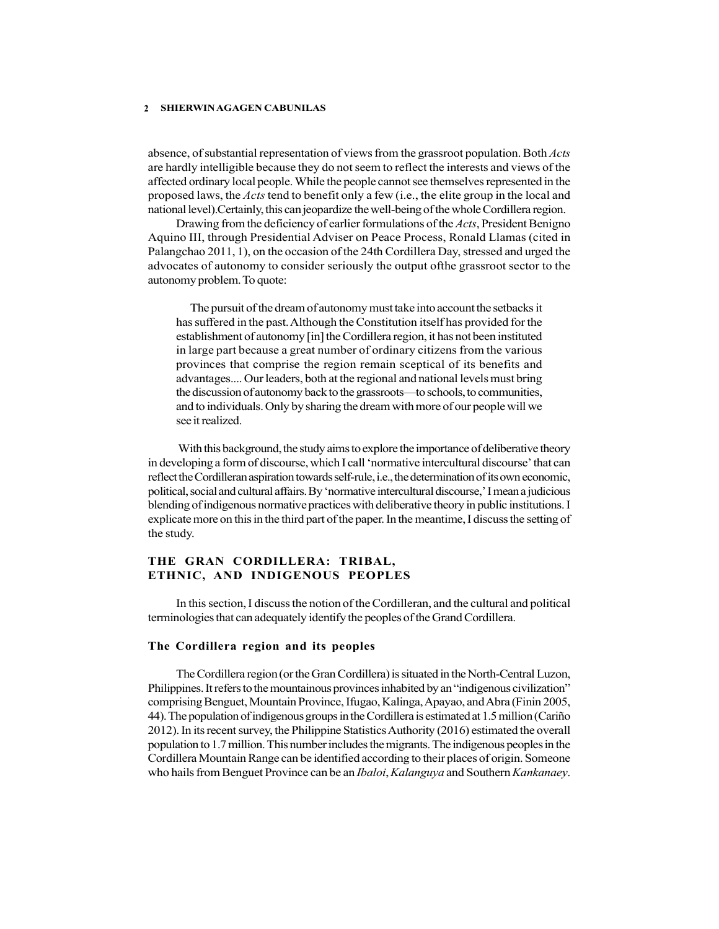absence, of substantial representation of views from the grassroot population. Both *Acts* are hardly intelligible because they do not seem to reflect the interests and views of the affected ordinary local people. While the people cannot see themselves represented in the proposed laws, the Acts tend to benefit only a few (i.e., the elite group in the local and national level).Certainly, this can jeopardize the well-being of the whole Cordillera region.

Drawing from the deficiency of earlier formulations of the Acts, President Benigno Aquino III, through Presidential Adviser on Peace Process, Ronald Llamas (cited in Palangchao 2011, 1), on the occasion of the 24th Cordillera Day, stressed and urged the advocates of autonomy to consider seriously the output ofthe grassroot sector to the autonomy problem. To quote:

The pursuit of the dream of autonomy must take into account the setbacks it has suffered in the past. Although the Constitution itself has provided for the establishment of autonomy [in] the Cordillera region, it has not been instituted in large part because a great number of ordinary citizens from the various provinces that comprise the region remain sceptical of its benefits and advantages.... Our leaders, both at the regional and national levels must bring the discussion of autonomy back to the grassroots—to schools, to communities, and to individuals. Only by sharing the dream with more of our people will we see it realized.

 With this background, the study aims to explore the importance of deliberative theory in developing a form of discourse, which I call 'normative intercultural discourse' that can reflect the Cordilleran aspiration towards self-rule, i.e., the determination of its own economic, political, social and cultural affairs. By 'normative intercultural discourse,' I mean a judicious blending of indigenous normative practices with deliberative theory in public institutions. I explicate more on this in the third part of the paper. In the meantime, I discuss the setting of the study.

# THE GRAN CORDILLERA: TRIBAL, ETHNIC, AND INDIGENOUS PEOPLES

In this section, I discuss the notion of the Cordilleran, and the cultural and political terminologies that can adequately identify the peoples of the Grand Cordillera.

### The Cordillera region and its peoples

The Cordillera region (or the Gran Cordillera) is situated in the North-Central Luzon, Philippines. It refers to the mountainous provinces inhabited by an "indigenous civilization" comprising Benguet, Mountain Province, Ifugao, Kalinga, Apayao, and Abra (Finin 2005, 44). The population of indigenous groups in the Cordillera is estimated at 1.5 million (Cariño 2012). In its recent survey, the Philippine Statistics Authority (2016) estimated the overall population to 1.7 million. This number includes the migrants. The indigenous peoples in the Cordillera Mountain Range can be identified according to their places of origin. Someone who hails from Benguet Province can be an *Ibaloi*, Kalanguya and Southern Kankanaey.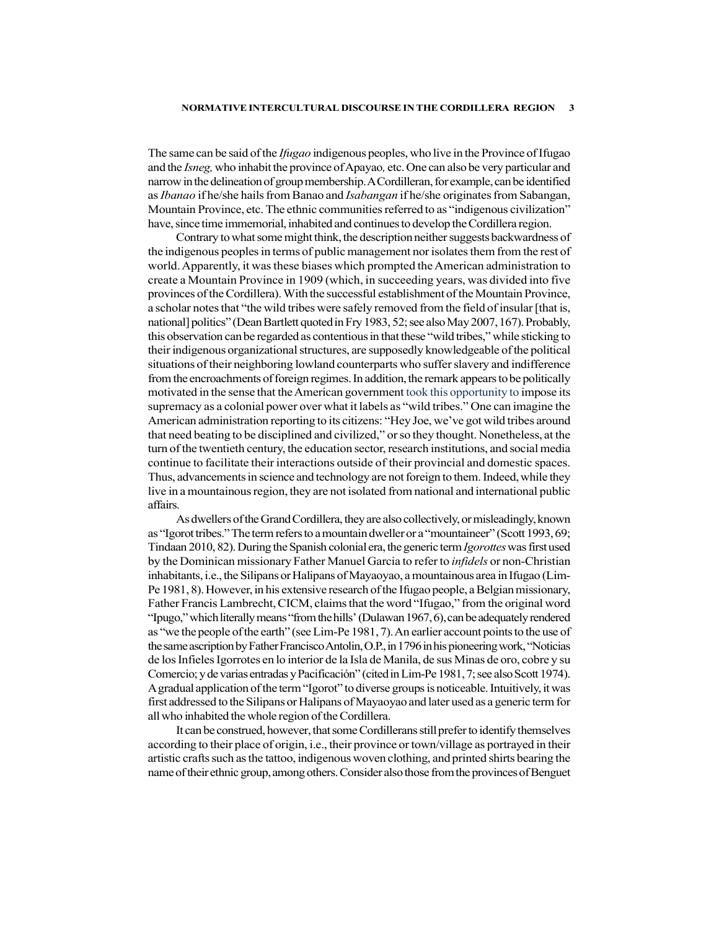The same can be said of the *Ifugao* indigenous peoples, who live in the Province of Ifugao and the Isneg, who inhabit the province of Apayao, etc. One can also be very particular and narrow in the delineation of group membership. A Cordilleran, for example, can be identified as *Ibanao* if he/she hails from Banao and *Isabangan* if he/she originates from Sabangan, Mountain Province, etc. The ethnic communities referred to as "indigenous civilization" have, since time immemorial, inhabited and continues to develop the Cordillera region.

Contrary to what some might think, the description neither suggests backwardness of the indigenous peoples in terms of public management nor isolates them from the rest of world. Apparently, it was these biases which prompted the American administration to create a Mountain Province in 1909 (which, in succeeding years, was divided into five provinces of the Cordillera). With the successful establishment of the Mountain Province, a scholar notes that "the wild tribes were safely removed from the field of insular [that is, national] politics" (Dean Bartlett quoted in Fry 1983, 52; see also May 2007, 167). Probably, this observation can be regarded as contentious in that these "wild tribes," while sticking to their indigenous organizational structures, are supposedly knowledgeable of the political situations of their neighboring lowland counterparts who suffer slavery and indifference from the encroachments of foreign regimes. In addition, the remark appears to be politically motivated in the sense that the American government took this opportunity to impose its supremacy as a colonial power over what it labels as "wild tribes." One can imagine the American administration reporting to its citizens: "Hey Joe, we've got wild tribes around that need beating to be disciplined and civilized," or so they thought. Nonetheless, at the turn of the twentieth century, the education sector, research institutions, and social media continue to facilitate their interactions outside of their provincial and domestic spaces. Thus, advancements in science and technology are not foreign to them. Indeed, while they live in a mountainous region, they are not isolated from national and international public affairs.

As dwellers of the Grand Cordillera, they are also collectively, or misleadingly, known as "Igorot tribes." The term refers to a mountain dweller or a "mountaineer" (Scott 1993, 69; Tindaan 2010, 82). During the Spanish colonial era, the generic term Igorottes was first used by the Dominican missionary Father Manuel Garcia to refer to *infidels* or non-Christian inhabitants, i.e., the Silipans or Halipans of Mayaoyao, a mountainous area in Ifugao (Lim-Pe 1981, 8). However, in his extensive research of the Ifugao people, a Belgian missionary, Father Francis Lambrecht, CICM, claims that the word "Ifugao," from the original word "Ipugo," which literally means "from the hills' (Dulawan 1967, 6), can be adequately rendered as "we the people of the earth" (see Lim-Pe 1981, 7). An earlier account points to the use of the same ascription by Father Francisco Antolin, O.P., in 1796 in his pioneering work, "Noticias de los Infieles Igorrotes en lo interior de la Isla de Manila, de sus Minas de oro, cobre y su Comercio; y de varias entradas y Pacificación" (cited in Lim-Pe 1981, 7; see also Scott 1974). A gradual application of the term "Igorot" to diverse groups is noticeable. Intuitively, it was first addressed to the Silipans or Halipans of Mayaoyao and later used as a generic term for all who inhabited the whole region of the Cordillera.

It can be construed, however, that some Cordillerans still prefer to identify themselves according to their place of origin, i.e., their province or town/village as portrayed in their artistic crafts such as the tattoo, indigenous woven clothing, and printed shirts bearing the name of their ethnic group, among others. Consider also those from the provinces of Benguet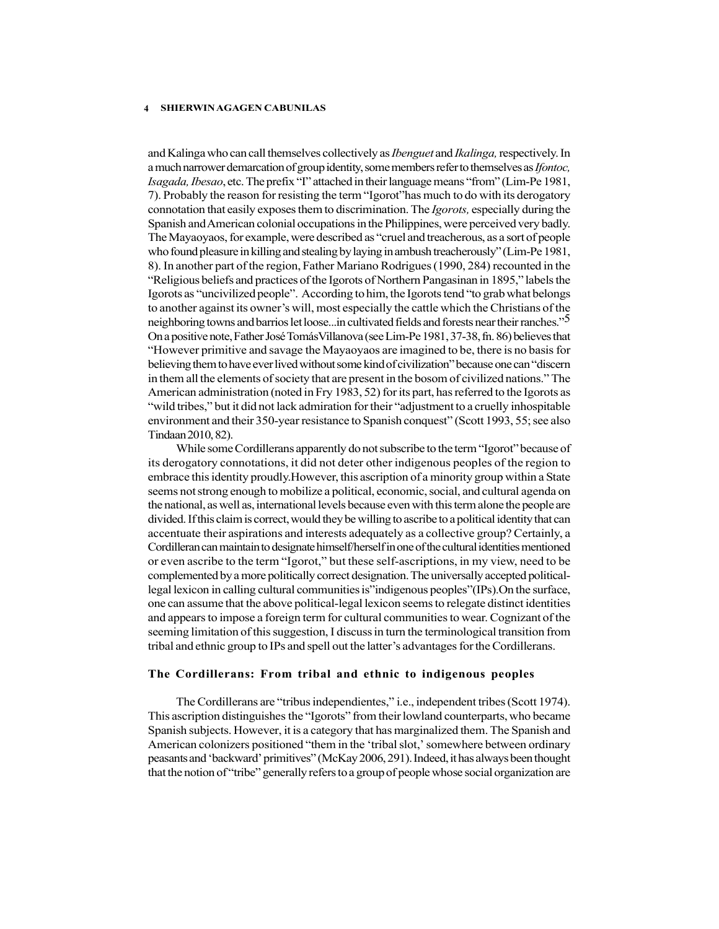and Kalinga who can call themselves collectively as *Ibenguet* and *Ikalinga*, respectively. In a much narrower demarcation of group identity, some members refer to themselves as Ifontoc, Isagada, Ibesao, etc. The prefix "I" attached in their language means "from" (Lim-Pe 1981, 7). Probably the reason for resisting the term "Igorot"has much to do with its derogatory connotation that easily exposes them to discrimination. The Igorots, especially during the Spanish and American colonial occupations in the Philippines, were perceived very badly. The Mayaoyaos, for example, were described as "cruel and treacherous, as a sort of people who found pleasure in killing and stealing by laying in ambush treacherously" (Lim-Pe 1981, 8). In another part of the region, Father Mariano Rodrigues (1990, 284) recounted in the "Religious beliefs and practices of the Igorots of Northern Pangasinan in 1895," labels the Igorots as "uncivilized people". According to him, the Igorots tend "to grab what belongs to another against its owner's will, most especially the cattle which the Christians of the neighboring towns and barrios let loose...in cultivated fields and forests near their ranches."5 On a positive note, Father José TomásVillanova (see Lim-Pe 1981, 37-38, fn. 86) believes that "However primitive and savage the Mayaoyaos are imagined to be, there is no basis for believing them to have ever lived without some kind of civilization" because one can "discern in them all the elements of society that are present in the bosom of civilized nations." The American administration (noted in Fry 1983, 52) for its part, has referred to the Igorots as "wild tribes," but it did not lack admiration for their "adjustment to a cruelly inhospitable environment and their 350-year resistance to Spanish conquest" (Scott 1993, 55; see also Tindaan 2010, 82).

While some Cordillerans apparently do not subscribe to the term "Igorot" because of its derogatory connotations, it did not deter other indigenous peoples of the region to embrace this identity proudly.However, this ascription of a minority group within a State seems not strong enough to mobilize a political, economic, social, and cultural agenda on the national, as well as, international levels because even with this term alone the people are divided. If this claim is correct, would they be willing to ascribe to a political identity that can accentuate their aspirations and interests adequately as a collective group? Certainly, a Cordilleran can maintain to designate himself/herself in one of the cultural identities mentioned or even ascribe to the term "Igorot," but these self-ascriptions, in my view, need to be complemented by a more politically correct designation. The universally accepted politicallegal lexicon in calling cultural communities is"indigenous peoples"(IPs).On the surface, one can assume that the above political-legal lexicon seems to relegate distinct identities and appears to impose a foreign term for cultural communities to wear. Cognizant of the seeming limitation of this suggestion, I discuss in turn the terminological transition from tribal and ethnic group to IPs and spell out the latter's advantages for the Cordillerans.

#### The Cordillerans: From tribal and ethnic to indigenous peoples

The Cordillerans are "tribus independientes," i.e., independent tribes (Scott 1974). This ascription distinguishes the "Igorots" from their lowland counterparts, who became Spanish subjects. However, it is a category that has marginalized them. The Spanish and American colonizers positioned "them in the 'tribal slot,' somewhere between ordinary peasants and 'backward' primitives" (McKay 2006, 291). Indeed, it has always been thought that the notion of "tribe" generally refers to a group of people whose social organization are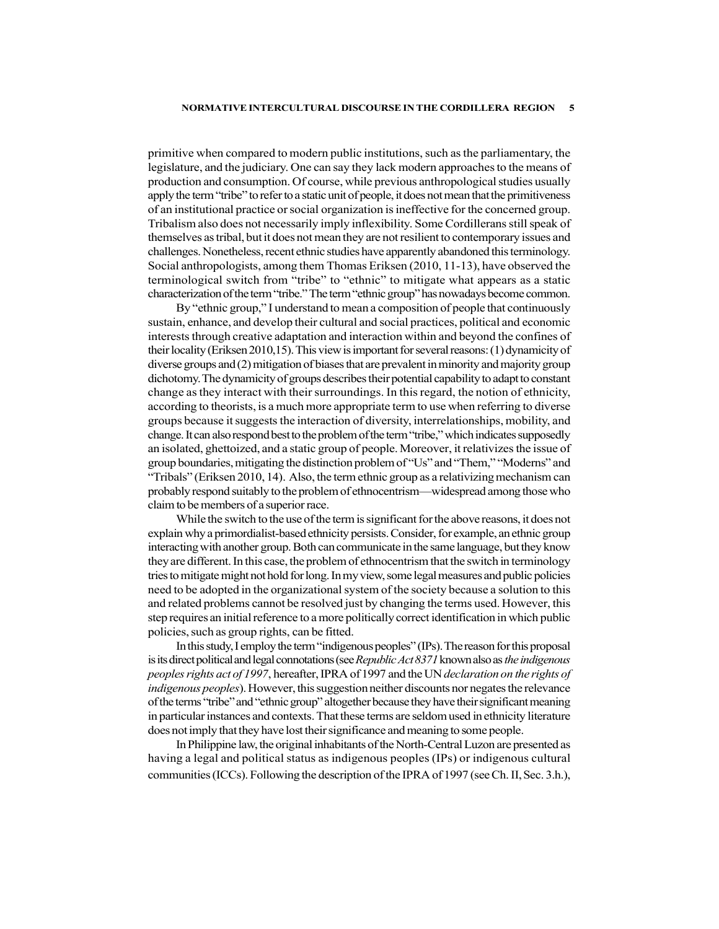#### NORMATIVE INTERCULTURAL DISCOURSE IN THE CORDILLERA REGION 5

primitive when compared to modern public institutions, such as the parliamentary, the legislature, and the judiciary. One can say they lack modern approaches to the means of production and consumption. Of course, while previous anthropological studies usually apply the term "tribe" to refer to a static unit of people, it does not mean that the primitiveness of an institutional practice or social organization is ineffective for the concerned group. Tribalism also does not necessarily imply inflexibility. Some Cordillerans still speak of themselves as tribal, but it does not mean they are not resilient to contemporary issues and challenges. Nonetheless, recent ethnic studies have apparently abandoned this terminology. Social anthropologists, among them Thomas Eriksen (2010, 11-13), have observed the terminological switch from "tribe" to "ethnic" to mitigate what appears as a static characterization of the term "tribe." The term "ethnic group" has nowadays become common.

By "ethnic group," I understand to mean a composition of people that continuously sustain, enhance, and develop their cultural and social practices, political and economic interests through creative adaptation and interaction within and beyond the confines of their locality (Eriksen 2010,15). This view is important for several reasons: (1) dynamicity of diverse groups and (2) mitigation of biases that are prevalent in minority and majority group dichotomy. The dynamicity of groups describes their potential capability to adapt to constant change as they interact with their surroundings. In this regard, the notion of ethnicity, according to theorists, is a much more appropriate term to use when referring to diverse groups because it suggests the interaction of diversity, interrelationships, mobility, and change. It can also respond best to the problem of the term "tribe," which indicates supposedly an isolated, ghettoized, and a static group of people. Moreover, it relativizes the issue of group boundaries, mitigating the distinction problem of "Us" and "Them," "Moderns" and "Tribals" (Eriksen 2010, 14). Also, the term ethnic group as a relativizing mechanism can probably respond suitably to the problem of ethnocentrism—widespread among those who claim to be members of a superior race.

While the switch to the use of the term is significant for the above reasons, it does not explain why a primordialist-based ethnicity persists. Consider, for example, an ethnic group interacting with another group. Both can communicate in the same language, but they know they are different. In this case, the problem of ethnocentrism that the switch in terminology tries to mitigate might not hold for long. In my view, some legal measures and public policies need to be adopted in the organizational system of the society because a solution to this and related problems cannot be resolved just by changing the terms used. However, this step requires an initial reference to a more politically correct identification in which public policies, such as group rights, can be fitted.

In this study, I employ the term "indigenous peoples" (IPs). The reason for this proposal is its direct political and legal connotations (see Republic Act 8371 known also as the indigenous peoples rights act of 1997, hereafter, IPRA of 1997 and the UN declaration on the rights of indigenous peoples). However, this suggestion neither discounts nor negates the relevance of the terms "tribe" and "ethnic group" altogether because they have their significant meaning in particular instances and contexts. That these terms are seldom used in ethnicity literature does not imply that they have lost their significance and meaning to some people.

In Philippine law, the original inhabitants of the North-Central Luzon are presented as having a legal and political status as indigenous peoples (IPs) or indigenous cultural communities (ICCs). Following the description of the IPRA of 1997 (see Ch. II, Sec. 3.h.),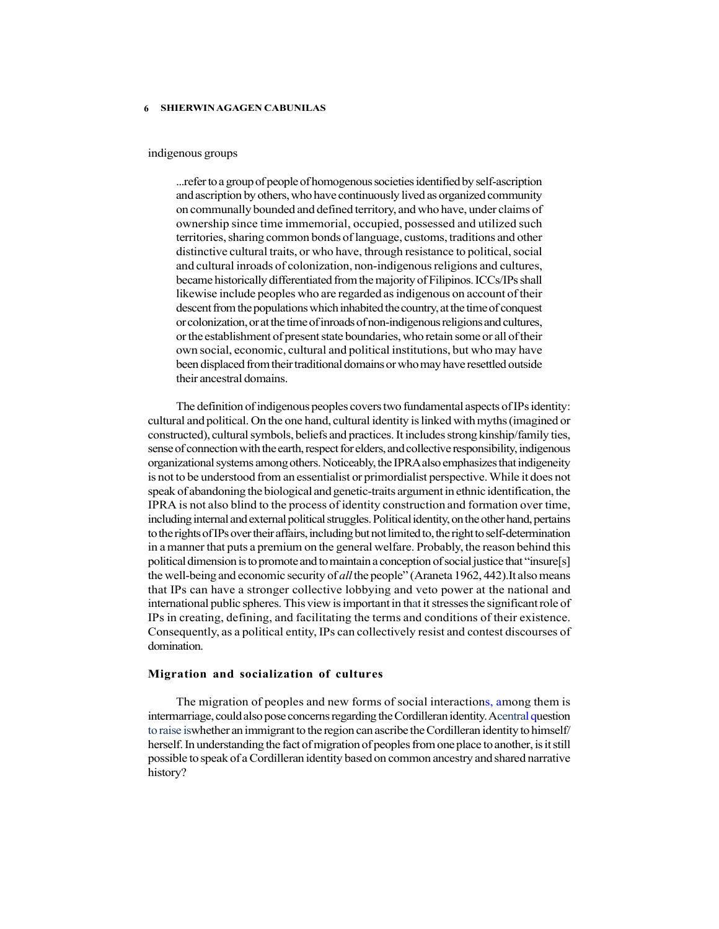#### indigenous groups

...refer to a group of people of homogenous societies identified by self-ascription and ascription by others, who have continuously lived as organized community on communally bounded and defined territory, and who have, under claims of ownership since time immemorial, occupied, possessed and utilized such territories, sharing common bonds of language, customs, traditions and other distinctive cultural traits, or who have, through resistance to political, social and cultural inroads of colonization, non-indigenous religions and cultures, became historically differentiated from the majority of Filipinos. ICCs/IPs shall likewise include peoples who are regarded as indigenous on account of their descent from the populations which inhabited the country, at the time of conquest or colonization, or at the time of inroads of non-indigenous religions and cultures, or the establishment of present state boundaries, who retain some or all of their own social, economic, cultural and political institutions, but who may have been displaced from their traditional domains or who may have resettled outside their ancestral domains.

The definition of indigenous peoples covers two fundamental aspects of IPs identity: cultural and political. On the one hand, cultural identity is linked with myths (imagined or constructed), cultural symbols, beliefs and practices. It includes strong kinship/family ties, sense of connection with the earth, respect for elders, and collective responsibility, indigenous organizational systems among others. Noticeably, the IPRA also emphasizes that indigeneity is not to be understood from an essentialist or primordialist perspective. While it does not speak of abandoning the biological and genetic-traits argument in ethnic identification, the IPRA is not also blind to the process of identity construction and formation over time, including internal and external political struggles. Political identity, on the other hand, pertains to the rights of IPs over their affairs, including but not limited to, the right to self-determination in a manner that puts a premium on the general welfare. Probably, the reason behind this political dimension is to promote and to maintain a conception of social justice that "insure[s] the well-being and economic security of *all* the people" (Araneta 1962, 442). It also means that IPs can have a stronger collective lobbying and veto power at the national and international public spheres. This view is important in that it stresses the significant role of IPs in creating, defining, and facilitating the terms and conditions of their existence. Consequently, as a political entity, IPs can collectively resist and contest discourses of domination.

#### Migration and socialization of cultures

The migration of peoples and new forms of social interactions, among them is intermarriage, could also pose concerns regarding the Cordilleran identity. Acentral question to raise iswhether an immigrant to the region can ascribe the Cordilleran identity to himself/ herself. In understanding the fact of migration of peoples from one place to another, is it still possible to speak of a Cordilleran identity based on common ancestry and shared narrative history?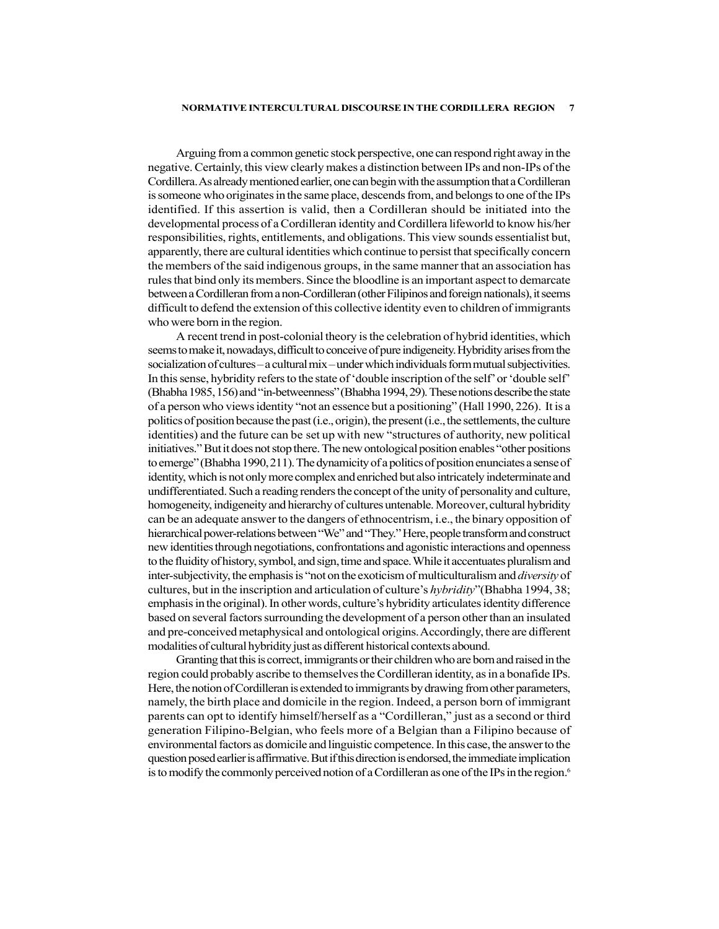#### NORMATIVE INTERCULTURAL DISCOURSE IN THE CORDILLERA REGION 7

Arguing from a common genetic stock perspective, one can respond right away in the negative. Certainly, this view clearly makes a distinction between IPs and non-IPs of the Cordillera. As already mentioned earlier, one can begin with the assumption that a Cordilleran is someone who originates in the same place, descends from, and belongs to one of the IPs identified. If this assertion is valid, then a Cordilleran should be initiated into the developmental process of a Cordilleran identity and Cordillera lifeworld to know his/her responsibilities, rights, entitlements, and obligations. This view sounds essentialist but, apparently, there are cultural identities which continue to persist that specifically concern the members of the said indigenous groups, in the same manner that an association has rules that bind only its members. Since the bloodline is an important aspect to demarcate between a Cordilleran from a non-Cordilleran (other Filipinos and foreign nationals), it seems difficult to defend the extension of this collective identity even to children of immigrants who were born in the region.

A recent trend in post-colonial theory is the celebration of hybrid identities, which seems to make it, nowadays, difficult to conceive of pure indigeneity. Hybridity arises from the socialization of cultures – a cultural mix – under which individuals form mutual subjectivities. In this sense, hybridity refers to the state of 'double inscription of the self' or 'double self' (Bhabha 1985, 156) and "in-betweenness" (Bhabha 1994, 29). These notions describe the state of a person who views identity "not an essence but a positioning" (Hall 1990, 226). It is a politics of position because the past (i.e., origin), the present (i.e., the settlements, the culture identities) and the future can be set up with new "structures of authority, new political initiatives." But it does not stop there. The new ontological position enables "other positions to emerge" (Bhabha 1990, 211). The dynamicity of a politics of position enunciates a sense of identity, which is not only more complex and enriched but also intricately indeterminate and undifferentiated. Such a reading renders the concept of the unity of personality and culture, homogeneity, indigeneity and hierarchy of cultures untenable. Moreover, cultural hybridity can be an adequate answer to the dangers of ethnocentrism, i.e., the binary opposition of hierarchical power-relations between "We" and "They." Here, people transform and construct new identities through negotiations, confrontations and agonistic interactions and openness to the fluidity of history, symbol, and sign, time and space. While it accentuates pluralism and inter-subjectivity, the emphasis is "not on the exoticism of multiculturalism and *diversity* of cultures, but in the inscription and articulation of culture's hybridity"(Bhabha 1994, 38; emphasis in the original). In other words, culture's hybridity articulates identity difference based on several factors surrounding the development of a person other than an insulated and pre-conceived metaphysical and ontological origins. Accordingly, there are different modalities of cultural hybridity just as different historical contexts abound.

Granting that this is correct, immigrants or their children who are born and raised in the region could probably ascribe to themselves the Cordilleran identity, as in a bonafide IPs. Here, the notion of Cordilleran is extended to immigrants by drawing from other parameters, namely, the birth place and domicile in the region. Indeed, a person born of immigrant parents can opt to identify himself/herself as a "Cordilleran," just as a second or third generation Filipino-Belgian, who feels more of a Belgian than a Filipino because of environmental factors as domicile and linguistic competence. In this case, the answer to the question posed earlier is affirmative. But if this direction is endorsed, the immediate implication is to modify the commonly perceived notion of a Cordilleran as one of the IPs in the region.<sup>6</sup>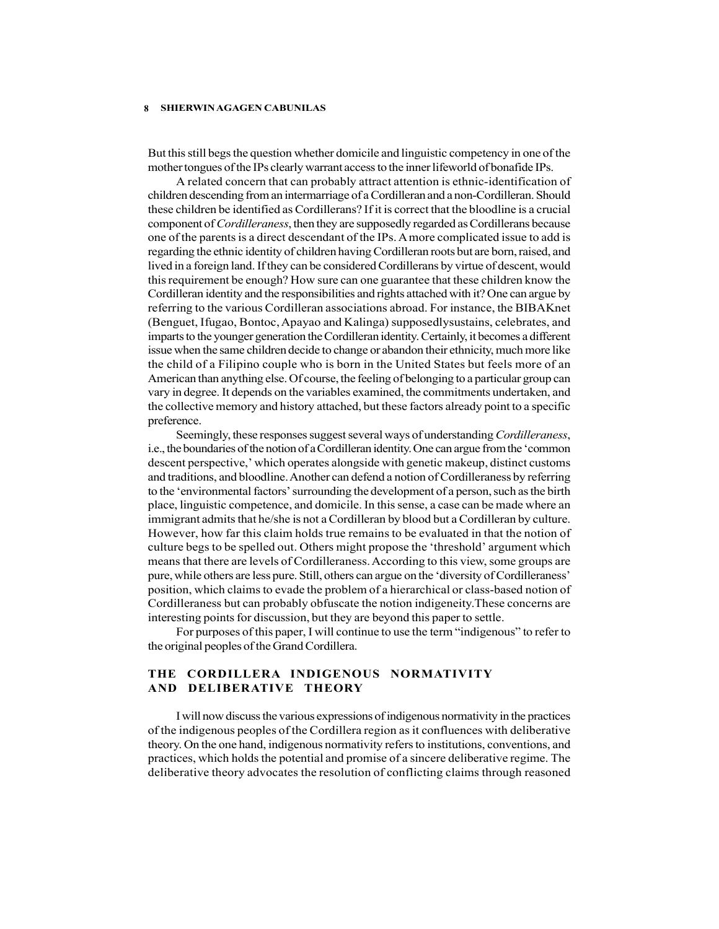But this still begs the question whether domicile and linguistic competency in one of the mother tongues of the IPs clearly warrant access to the inner lifeworld of bonafide IPs.

A related concern that can probably attract attention is ethnic-identification of children descending from an intermarriage of a Cordilleran and a non-Cordilleran. Should these children be identified as Cordillerans? If it is correct that the bloodline is a crucial component of *Cordilleraness*, then they are supposedly regarded as Cordillerans because one of the parents is a direct descendant of the IPs. A more complicated issue to add is regarding the ethnic identity of children having Cordilleran roots but are born, raised, and lived in a foreign land. If they can be considered Cordillerans by virtue of descent, would this requirement be enough? How sure can one guarantee that these children know the Cordilleran identity and the responsibilities and rights attached with it? One can argue by referring to the various Cordilleran associations abroad. For instance, the BIBAKnet (Benguet, Ifugao, Bontoc, Apayao and Kalinga) supposedlysustains, celebrates, and imparts to the younger generation the Cordilleran identity. Certainly, it becomes a different issue when the same children decide to change or abandon their ethnicity, much more like the child of a Filipino couple who is born in the United States but feels more of an American than anything else. Of course, the feeling of belonging to a particular group can vary in degree. It depends on the variables examined, the commitments undertaken, and the collective memory and history attached, but these factors already point to a specific preference.

Seemingly, these responses suggest several ways of understanding Cordilleraness, i.e., the boundaries of the notion of a Cordilleran identity. One can argue from the 'common descent perspective,' which operates alongside with genetic makeup, distinct customs and traditions, and bloodline. Another can defend a notion of Cordilleraness by referring to the 'environmental factors' surrounding the development of a person, such as the birth place, linguistic competence, and domicile. In this sense, a case can be made where an immigrant admits that he/she is not a Cordilleran by blood but a Cordilleran by culture. However, how far this claim holds true remains to be evaluated in that the notion of culture begs to be spelled out. Others might propose the 'threshold' argument which means that there are levels of Cordilleraness. According to this view, some groups are pure, while others are less pure. Still, others can argue on the 'diversity of Cordilleraness' position, which claims to evade the problem of a hierarchical or class-based notion of Cordilleraness but can probably obfuscate the notion indigeneity.These concerns are interesting points for discussion, but they are beyond this paper to settle.

For purposes of this paper, I will continue to use the term "indigenous" to refer to the original peoples of the Grand Cordillera.

# THE CORDILLERA INDIGENOUS NORMATIVITY AND DELIBERATIVE THEORY

I will now discuss the various expressions of indigenous normativity in the practices of the indigenous peoples of the Cordillera region as it confluences with deliberative theory. On the one hand, indigenous normativity refers to institutions, conventions, and practices, which holds the potential and promise of a sincere deliberative regime. The deliberative theory advocates the resolution of conflicting claims through reasoned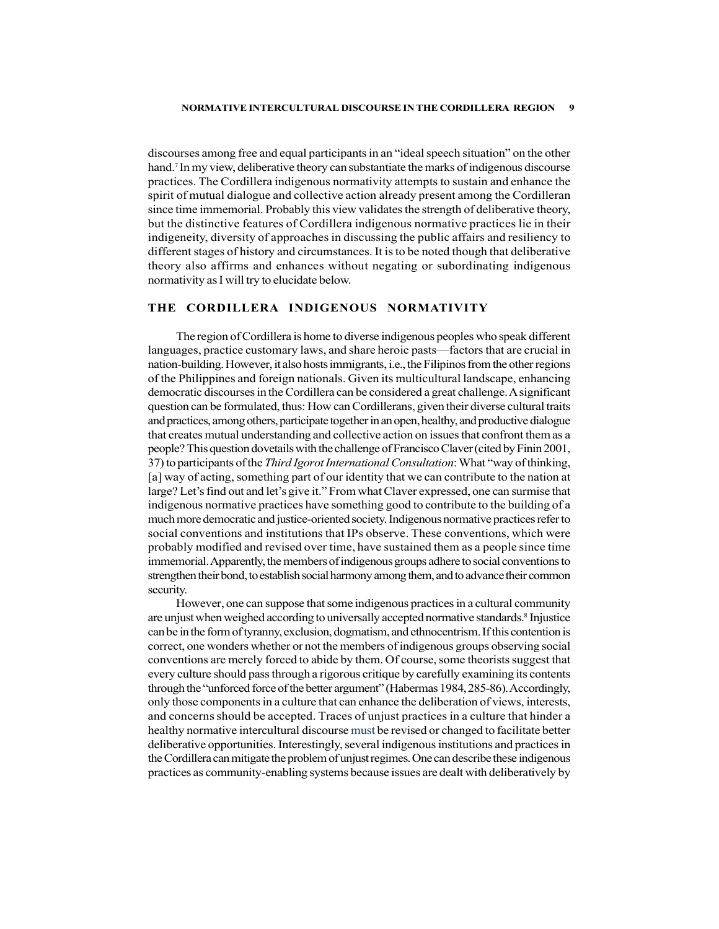discourses among free and equal participants in an "ideal speech situation" on the other hand.<sup>7</sup> In my view, deliberative theory can substantiate the marks of indigenous discourse practices. The Cordillera indigenous normativity attempts to sustain and enhance the spirit of mutual dialogue and collective action already present among the Cordilleran since time immemorial. Probably this view validates the strength of deliberative theory, but the distinctive features of Cordillera indigenous normative practices lie in their indigeneity, diversity of approaches in discussing the public affairs and resiliency to different stages of history and circumstances. It is to be noted though that deliberative theory also affirms and enhances without negating or subordinating indigenous normativity as I will try to elucidate below.

## THE CORDILLERA INDIGENOUS NORMATIVITY

The region of Cordillera is home to diverse indigenous peoples who speak different languages, practice customary laws, and share heroic pasts—factors that are crucial in nation-building. However, it also hosts immigrants, i.e., the Filipinos from the other regions of the Philippines and foreign nationals. Given its multicultural landscape, enhancing democratic discourses in the Cordillera can be considered a great challenge. A significant question can be formulated, thus: How can Cordillerans, given their diverse cultural traits and practices, among others, participate together in an open, healthy, and productive dialogue that creates mutual understanding and collective action on issues that confront them as a people? This question dovetails with the challenge of Francisco Claver (cited by Finin 2001, 37) to participants of the Third Igorot International Consultation: What "way of thinking, [a] way of acting, something part of our identity that we can contribute to the nation at large? Let's find out and let's give it." From what Claver expressed, one can surmise that indigenous normative practices have something good to contribute to the building of a much more democratic and justice-oriented society. Indigenous normative practices refer to social conventions and institutions that IPs observe. These conventions, which were probably modified and revised over time, have sustained them as a people since time immemorial. Apparently, the members of indigenous groups adhere to social conventions to strengthen their bond, to establish social harmony among them, and to advance their common security.

However, one can suppose that some indigenous practices in a cultural community are unjust when weighed according to universally accepted normative standards.8 Injustice can be in the form of tyranny, exclusion, dogmatism, and ethnocentrism. If this contention is correct, one wonders whether or not the members of indigenous groups observing social conventions are merely forced to abide by them. Of course, some theorists suggest that every culture should pass through a rigorous critique by carefully examining its contents through the "unforced force of the better argument" (Habermas 1984, 285-86). Accordingly, only those components in a culture that can enhance the deliberation of views, interests, and concerns should be accepted. Traces of unjust practices in a culture that hinder a healthy normative intercultural discourse must be revised or changed to facilitate better deliberative opportunities. Interestingly, several indigenous institutions and practices in the Cordillera can mitigate the problem of unjust regimes. One can describe these indigenous practices as community-enabling systems because issues are dealt with deliberatively by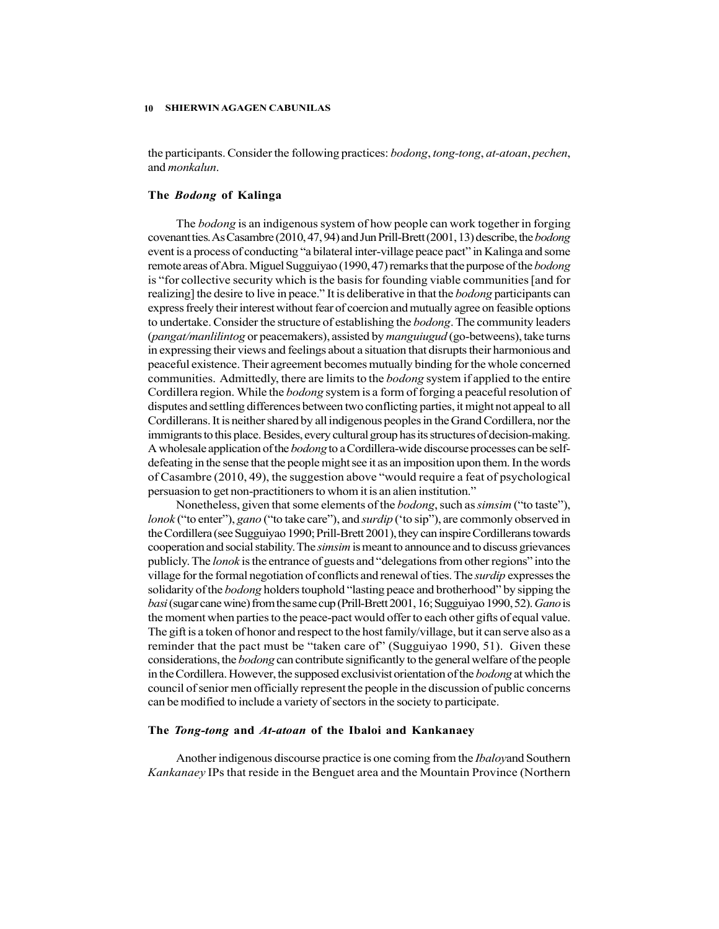the participants. Consider the following practices: bodong, tong-tong, at-atoan, pechen, and monkalun.

#### The Bodong of Kalinga

The bodong is an indigenous system of how people can work together in forging covenant ties. As Casambre (2010, 47, 94) and Jun Prill-Brett (2001, 13) describe, the bodong event is a process of conducting "a bilateral inter-village peace pact" in Kalinga and some remote areas of Abra. Miguel Sugguiyao (1990, 47) remarks that the purpose of the bodong is "for collective security which is the basis for founding viable communities [and for realizing] the desire to live in peace." It is deliberative in that the *bodong* participants can express freely their interest without fear of coercion and mutually agree on feasible options to undertake. Consider the structure of establishing the bodong. The community leaders (pangat/manlilintog or peacemakers), assisted by manguiugud (go-betweens), take turns in expressing their views and feelings about a situation that disrupts their harmonious and peaceful existence. Their agreement becomes mutually binding for the whole concerned communities. Admittedly, there are limits to the *bodong* system if applied to the entire Cordillera region. While the bodong system is a form of forging a peaceful resolution of disputes and settling differences between two conflicting parties, it might not appeal to all Cordillerans. It is neither shared by all indigenous peoples in the Grand Cordillera, nor the immigrants to this place. Besides, every cultural group has its structures of decision-making. A wholesale application of the *bodong* to a Cordillera-wide discourse processes can be selfdefeating in the sense that the people might see it as an imposition upon them. In the words of Casambre (2010, 49), the suggestion above "would require a feat of psychological persuasion to get non-practitioners to whom it is an alien institution."

Nonetheless, given that some elements of the bodong, such as simsim ("to taste"), lonok ("to enter"), gano ("to take care"), and *surdip* ("to sip"), are commonly observed in the Cordillera (see Sugguiyao 1990; Prill-Brett 2001), they can inspire Cordillerans towards cooperation and social stability. The simsim is meant to announce and to discuss grievances publicly. The lonok is the entrance of guests and "delegations from other regions" into the village for the formal negotiation of conflicts and renewal of ties. The *surdip* expresses the solidarity of the *bodong* holders touphold "lasting peace and brotherhood" by sipping the basi (sugar cane wine) from the same cup (Prill-Brett 2001, 16; Sugguiyao 1990, 52). Gano is the moment when parties to the peace-pact would offer to each other gifts of equal value. The gift is a token of honor and respect to the host family/village, but it can serve also as a reminder that the pact must be "taken care of" (Sugguiyao 1990, 51). Given these considerations, the bodong can contribute significantly to the general welfare of the people in the Cordillera. However, the supposed exclusivist orientation of the *bodong* at which the council of senior men officially represent the people in the discussion of public concerns can be modified to include a variety of sectors in the society to participate.

#### The Tong-tong and At-atoan of the Ibaloi and Kankanaey

Another indigenous discourse practice is one coming from the Ibaloyand Southern Kankanaey IPs that reside in the Benguet area and the Mountain Province (Northern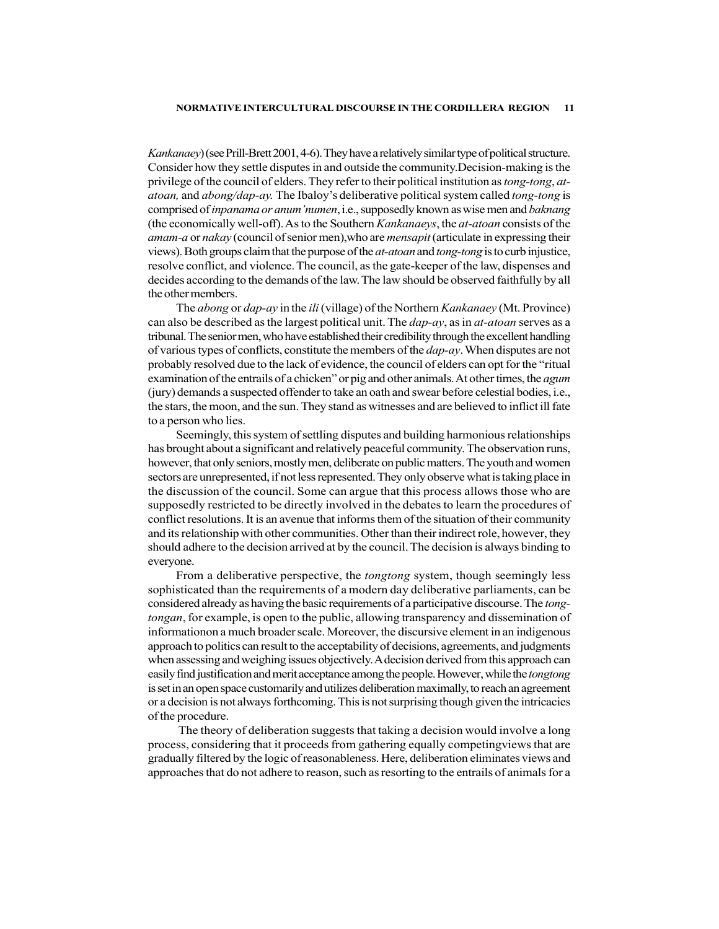Kankanaey) (see Prill-Brett 2001, 4-6). They have a relatively similar type of political structure. Consider how they settle disputes in and outside the community.Decision-making is the privilege of the council of elders. They refer to their political institution as *tong-tong, at*atoan, and abong/dap-ay. The Ibaloy's deliberative political system called tong-tong is comprised of *inpanama or anum 'numen*, i.e., supposedly known as wise men and *baknang* (the economically well-off). As to the Southern Kankanaeys, the at-atoan consists of the amam-a or nakay (council of senior men),who are mensapit (articulate in expressing their views). Both groups claim that the purpose of the at-atoan and tong-tong is to curb injustice, resolve conflict, and violence. The council, as the gate-keeper of the law, dispenses and decides according to the demands of the law. The law should be observed faithfully by all the other members.

The abong or dap-ay in the ili (village) of the Northern Kankanaey (Mt. Province) can also be described as the largest political unit. The *dap-ay*, as in *at-atoan* serves as a tribunal. The senior men, who have established their credibility through the excellent handling of various types of conflicts, constitute the members of the dap-ay. When disputes are not probably resolved due to the lack of evidence, the council of elders can opt for the "ritual examination of the entrails of a chicken" or pig and other animals. At other times, the *agum* (jury) demands a suspected offender to take an oath and swear before celestial bodies, i.e., the stars, the moon, and the sun. They stand as witnesses and are believed to inflict ill fate to a person who lies.

Seemingly, this system of settling disputes and building harmonious relationships has brought about a significant and relatively peaceful community. The observation runs, however, that only seniors, mostly men, deliberate on public matters. The youth and women sectors are unrepresented, if not less represented. They only observe what is taking place in the discussion of the council. Some can argue that this process allows those who are supposedly restricted to be directly involved in the debates to learn the procedures of conflict resolutions. It is an avenue that informs them of the situation of their community and its relationship with other communities. Other than their indirect role, however, they should adhere to the decision arrived at by the council. The decision is always binding to everyone.

From a deliberative perspective, the *tongtong* system, though seemingly less sophisticated than the requirements of a modern day deliberative parliaments, can be considered already as having the basic requirements of a participative discourse. The tongtongan, for example, is open to the public, allowing transparency and dissemination of informationon a much broader scale. Moreover, the discursive element in an indigenous approach to politics can result to the acceptability of decisions, agreements, and judgments when assessing and weighing issues objectively. A decision derived from this approach can easily find justification and merit acceptance among the people. However, while the tongtong is set in an open space customarily and utilizes deliberation maximally, to reach an agreement or a decision is not always forthcoming. This is not surprising though given the intricacies of the procedure.

 The theory of deliberation suggests that taking a decision would involve a long process, considering that it proceeds from gathering equally competingviews that are gradually filtered by the logic of reasonableness. Here, deliberation eliminates views and approaches that do not adhere to reason, such as resorting to the entrails of animals for a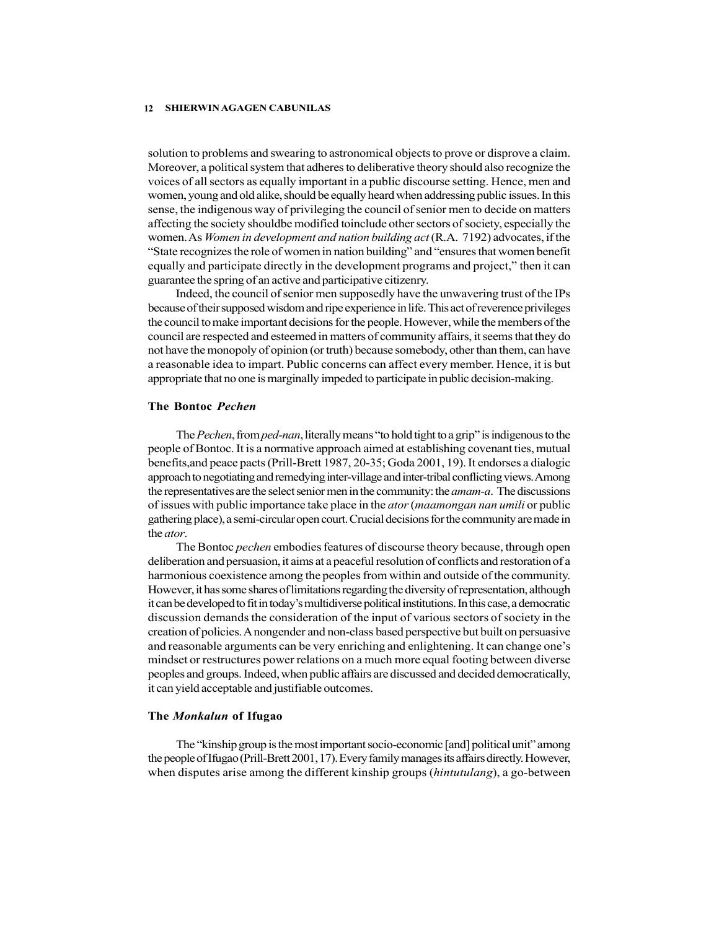solution to problems and swearing to astronomical objects to prove or disprove a claim. Moreover, a political system that adheres to deliberative theory should also recognize the voices of all sectors as equally important in a public discourse setting. Hence, men and women, young and old alike, should be equally heard when addressing public issues. In this sense, the indigenous way of privileging the council of senior men to decide on matters affecting the society shouldbe modified toinclude other sectors of society, especially the women. As *Women in development and nation building act* (R.A. 7192) advocates, if the "State recognizes the role of women in nation building" and "ensures that women benefit equally and participate directly in the development programs and project," then it can guarantee the spring of an active and participative citizenry.

Indeed, the council of senior men supposedly have the unwavering trust of the IPs because of their supposed wisdom and ripe experience in life. This act of reverence privileges the council to make important decisions for the people. However, while the members of the council are respected and esteemed in matters of community affairs, it seems that they do not have the monopoly of opinion (or truth) because somebody, other than them, can have a reasonable idea to impart. Public concerns can affect every member. Hence, it is but appropriate that no one is marginally impeded to participate in public decision-making.

#### The Bontoc Pechen

The Pechen, from ped-nan, literally means "to hold tight to a grip" is indigenous to the people of Bontoc. It is a normative approach aimed at establishing covenant ties, mutual benefits,and peace pacts (Prill-Brett 1987, 20-35; Goda 2001, 19). It endorses a dialogic approach to negotiating and remedying inter-village and inter-tribal conflicting views. Among the representatives are the select senior men in the community: the *amam-a*. The discussions of issues with public importance take place in the *ator (maamongan nan umili* or public gathering place), a semi-circular open court. Crucial decisions for the community are made in the ator.

The Bontoc *pechen* embodies features of discourse theory because, through open deliberation and persuasion, it aims at a peaceful resolution of conflicts and restoration of a harmonious coexistence among the peoples from within and outside of the community. However, it has some shares of limitations regarding the diversity of representation, although it can be developed to fit in today's multidiverse political institutions. In this case, a democratic discussion demands the consideration of the input of various sectors of society in the creation of policies. A nongender and non-class based perspective but built on persuasive and reasonable arguments can be very enriching and enlightening. It can change one's mindset or restructures power relations on a much more equal footing between diverse peoples and groups. Indeed, when public affairs are discussed and decided democratically, it can yield acceptable and justifiable outcomes.

### The Monkalun of Ifugao

The "kinship group is the most important socio-economic [and] political unit" among the people of Ifugao (Prill-Brett 2001, 17). Every family manages its affairs directly. However, when disputes arise among the different kinship groups (hintutulang), a go-between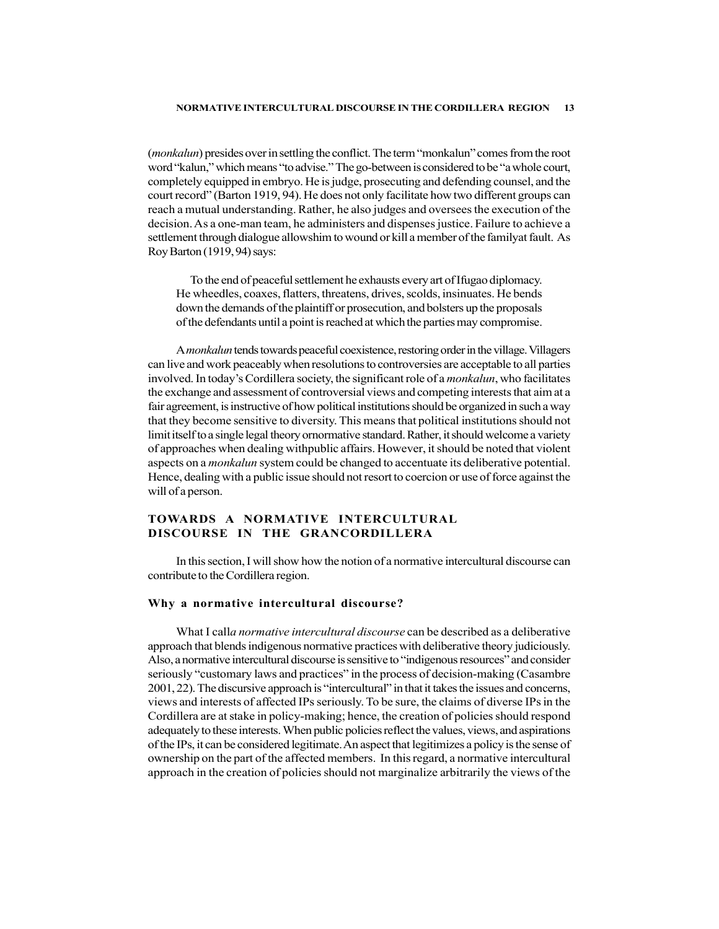(*monkalun*) presides over in settling the conflict. The term "monkalun" comes from the root word "kalun," which means "to advise." The go-between is considered to be "a whole court, completely equipped in embryo. He is judge, prosecuting and defending counsel, and the court record" (Barton 1919, 94). He does not only facilitate how two different groups can reach a mutual understanding. Rather, he also judges and oversees the execution of the decision. As a one-man team, he administers and dispenses justice. Failure to achieve a settlement through dialogue allowshim to wound or kill a member of the familyat fault. As Roy Barton (1919, 94) says:

To the end of peaceful settlement he exhausts every art of Ifugao diplomacy. He wheedles, coaxes, flatters, threatens, drives, scolds, insinuates. He bends down the demands of the plaintiff or prosecution, and bolsters up the proposals of the defendants until a point is reached at which the parties may compromise.

A monkalun tends towards peaceful coexistence, restoring order in the village. Villagers can live and work peaceably when resolutions to controversies are acceptable to all parties involved. In today's Cordillera society, the significant role of a *monkalun*, who facilitates the exchange and assessment of controversial views and competing interests that aim at a fair agreement, is instructive of how political institutions should be organized in such a way that they become sensitive to diversity. This means that political institutions should not limit itself to a single legal theory ornormative standard. Rather, it should welcome a variety of approaches when dealing withpublic affairs. However, it should be noted that violent aspects on a *monkalun* system could be changed to accentuate its deliberative potential. Hence, dealing with a public issue should not resort to coercion or use of force against the will of a person.

# TOWARDS A NORMATIVE INTERCULTURAL DISCOURSE IN THE GRANCORDILLERA

In this section, I will show how the notion of a normative intercultural discourse can contribute to the Cordillera region.

### Why a normative intercultural discourse?

What I calla normative intercultural discourse can be described as a deliberative approach that blends indigenous normative practices with deliberative theory judiciously. Also, a normative intercultural discourse is sensitive to "indigenous resources" and consider seriously "customary laws and practices" in the process of decision-making (Casambre 2001, 22). The discursive approach is "intercultural" in that it takes the issues and concerns, views and interests of affected IPs seriously. To be sure, the claims of diverse IPs in the Cordillera are at stake in policy-making; hence, the creation of policies should respond adequately to these interests. When public policies reflect the values, views, and aspirations of the IPs, it can be considered legitimate. An aspect that legitimizes a policy is the sense of ownership on the part of the affected members. In this regard, a normative intercultural approach in the creation of policies should not marginalize arbitrarily the views of the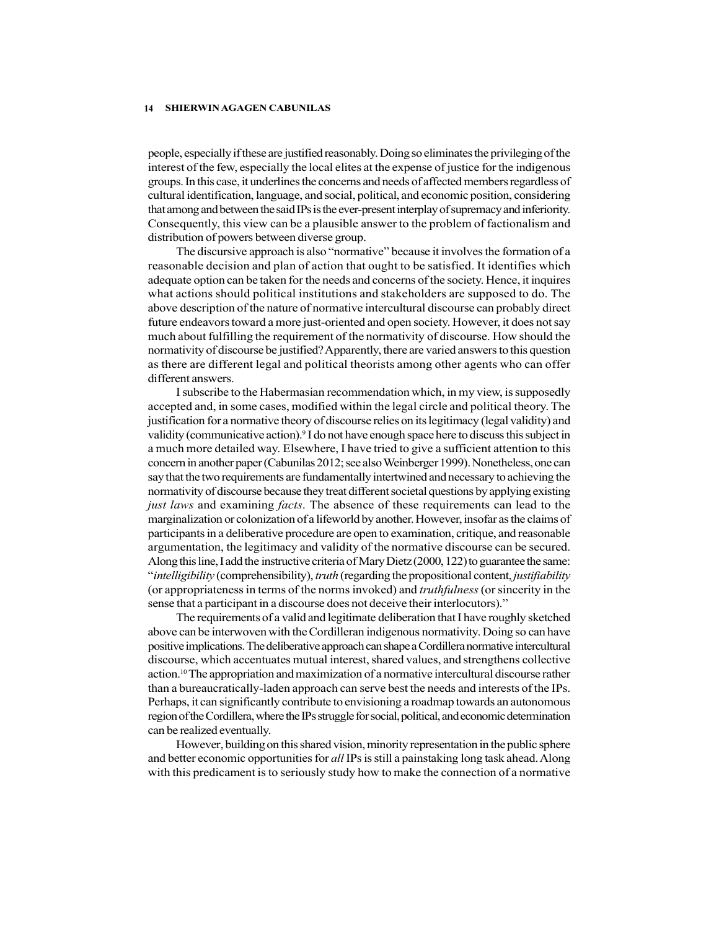people, especially if these are justified reasonably. Doing so eliminates the privileging of the interest of the few, especially the local elites at the expense of justice for the indigenous groups. In this case, it underlines the concerns and needs of affected members regardless of cultural identification, language, and social, political, and economic position, considering that among and between the said IPs is the ever-present interplay of supremacy and inferiority. Consequently, this view can be a plausible answer to the problem of factionalism and distribution of powers between diverse group.

The discursive approach is also "normative" because it involves the formation of a reasonable decision and plan of action that ought to be satisfied. It identifies which adequate option can be taken for the needs and concerns of the society. Hence, it inquires what actions should political institutions and stakeholders are supposed to do. The above description of the nature of normative intercultural discourse can probably direct future endeavors toward a more just-oriented and open society. However, it does not say much about fulfilling the requirement of the normativity of discourse. How should the normativity of discourse be justified? Apparently, there are varied answers to this question as there are different legal and political theorists among other agents who can offer different answers.

I subscribe to the Habermasian recommendation which, in my view, is supposedly accepted and, in some cases, modified within the legal circle and political theory. The justification for a normative theory of discourse relies on its legitimacy (legal validity) and validity (communicative action).9 I do not have enough space here to discuss this subject in a much more detailed way. Elsewhere, I have tried to give a sufficient attention to this concern in another paper (Cabunilas 2012; see also Weinberger 1999). Nonetheless, one can say that the two requirements are fundamentally intertwined and necessary to achieving the normativity of discourse because they treat different societal questions by applying existing just laws and examining facts. The absence of these requirements can lead to the marginalization or colonization of a lifeworld by another. However, insofar as the claims of participants in a deliberative procedure are open to examination, critique, and reasonable argumentation, the legitimacy and validity of the normative discourse can be secured. Along this line, I add the instructive criteria of Mary Dietz (2000, 122) to guarantee the same: "intelligibility (comprehensibility), truth (regarding the propositional content, justifiability (or appropriateness in terms of the norms invoked) and *truthfulness* (or sincerity in the sense that a participant in a discourse does not deceive their interlocutors)."

The requirements of a valid and legitimate deliberation that I have roughly sketched above can be interwoven with the Cordilleran indigenous normativity. Doing so can have positive implications. The deliberative approach can shape a Cordillera normative intercultural discourse, which accentuates mutual interest, shared values, and strengthens collective action.10 The appropriation and maximization of a normative intercultural discourse rather than a bureaucratically-laden approach can serve best the needs and interests of the IPs. Perhaps, it can significantly contribute to envisioning a roadmap towards an autonomous region of the Cordillera, where the IPs struggle for social, political, and economic determination can be realized eventually.

However, building on this shared vision, minority representation in the public sphere and better economic opportunities for *all* IPs is still a painstaking long task ahead. Along with this predicament is to seriously study how to make the connection of a normative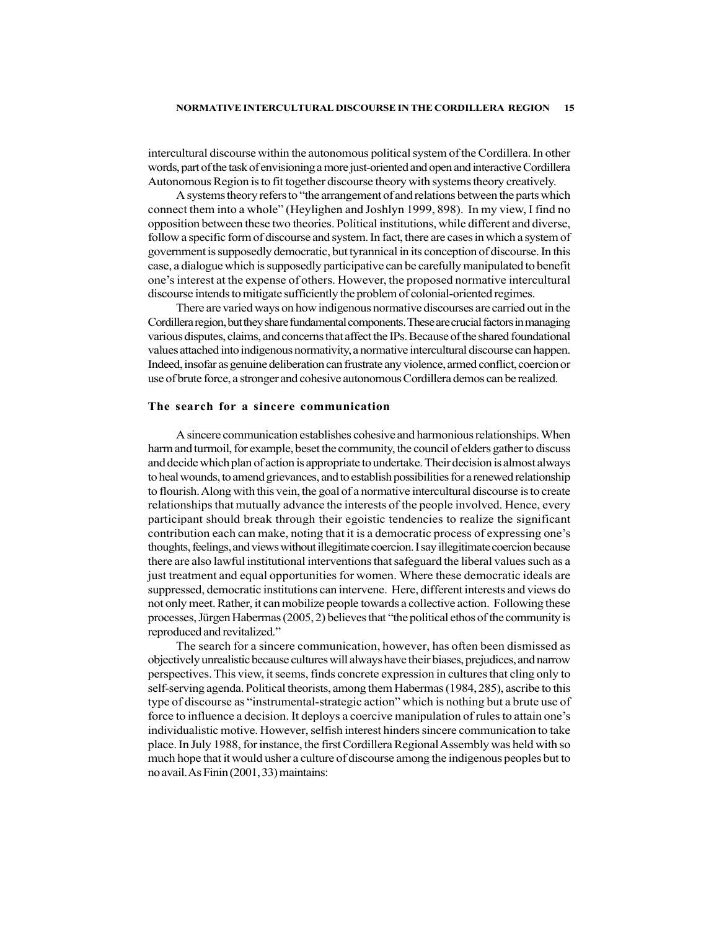intercultural discourse within the autonomous political system of the Cordillera. In other words, part of the task of envisioning a more just-oriented and open and interactive Cordillera Autonomous Region is to fit together discourse theory with systems theory creatively.

A systems theory refers to "the arrangement of and relations between the parts which connect them into a whole" (Heylighen and Joshlyn 1999, 898). In my view, I find no opposition between these two theories. Political institutions, while different and diverse, follow a specific form of discourse and system. In fact, there are cases in which a system of government is supposedly democratic, but tyrannical in its conception of discourse. In this case, a dialogue which is supposedly participative can be carefully manipulated to benefit one's interest at the expense of others. However, the proposed normative intercultural discourse intends to mitigate sufficiently the problem of colonial-oriented regimes.

There are varied ways on how indigenous normative discourses are carried out in the Cordillera region, but they share fundamental components. These are crucial factors in managing various disputes, claims, and concerns that affect the IPs. Because of the shared foundational values attached into indigenous normativity, a normative intercultural discourse can happen. Indeed, insofar as genuine deliberation can frustrate any violence, armed conflict, coercion or use of brute force, a stronger and cohesive autonomous Cordillera demos can be realized.

### The search for a sincere communication

A sincere communication establishes cohesive and harmonious relationships. When harm and turmoil, for example, beset the community, the council of elders gather to discuss and decide which plan of action is appropriate to undertake. Their decision is almost always to heal wounds, to amend grievances, and to establish possibilities for a renewed relationship to flourish. Along with this vein, the goal of a normative intercultural discourse is to create relationships that mutually advance the interests of the people involved. Hence, every participant should break through their egoistic tendencies to realize the significant contribution each can make, noting that it is a democratic process of expressing one's thoughts, feelings, and views without illegitimate coercion. I say illegitimate coercion because there are also lawful institutional interventions that safeguard the liberal values such as a just treatment and equal opportunities for women. Where these democratic ideals are suppressed, democratic institutions can intervene. Here, different interests and views do not only meet. Rather, it can mobilize people towards a collective action. Following these processes, Jürgen Habermas (2005, 2) believes that "the political ethos of the community is reproduced and revitalized."

The search for a sincere communication, however, has often been dismissed as objectively unrealistic because cultures will always have their biases, prejudices, and narrow perspectives. This view, it seems, finds concrete expression in cultures that cling only to self-serving agenda. Political theorists, among them Habermas (1984, 285), ascribe to this type of discourse as "instrumental-strategic action" which is nothing but a brute use of force to influence a decision. It deploys a coercive manipulation of rules to attain one's individualistic motive. However, selfish interest hinders sincere communication to take place. In July 1988, for instance, the first Cordillera Regional Assembly was held with so much hope that it would usher a culture of discourse among the indigenous peoples but to no avail. As Finin (2001, 33) maintains: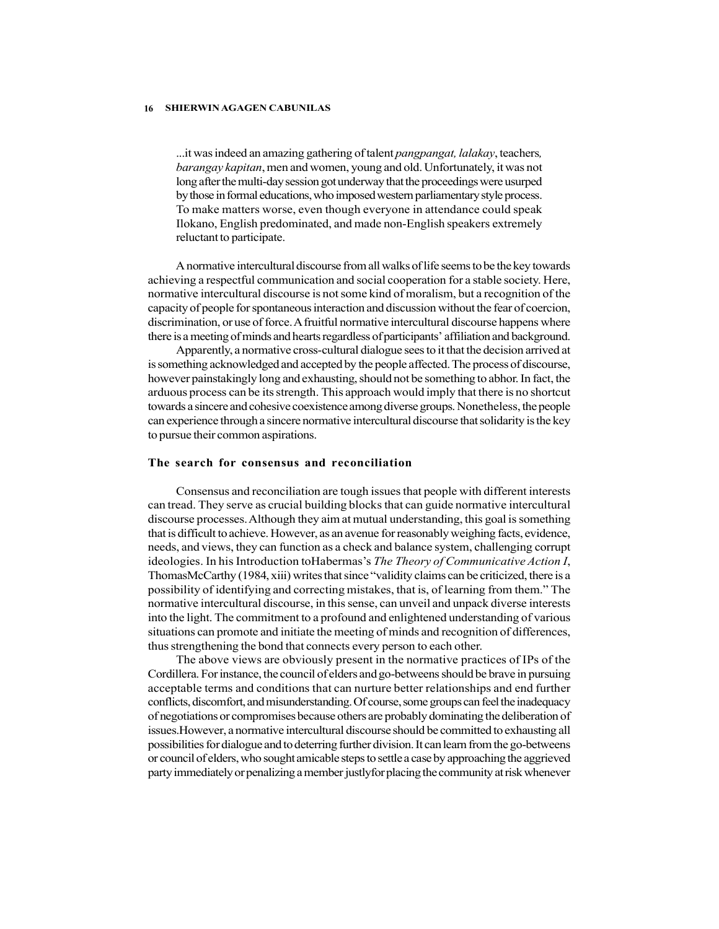...it was indeed an amazing gathering of talent pangpangat, lalakay, teachers, barangay kapitan, men and women, young and old. Unfortunately, it was not long after the multi-day session got underway that the proceedings were usurped by those in formal educations, who imposed western parliamentary style process. To make matters worse, even though everyone in attendance could speak Ilokano, English predominated, and made non-English speakers extremely reluctant to participate.

A normative intercultural discourse from all walks of life seems to be the key towards achieving a respectful communication and social cooperation for a stable society. Here, normative intercultural discourse is not some kind of moralism, but a recognition of the capacity of people for spontaneous interaction and discussion without the fear of coercion, discrimination, or use of force. A fruitful normative intercultural discourse happens where there is a meeting of minds and hearts regardless of participants' affiliation and background.

Apparently, a normative cross-cultural dialogue sees to it that the decision arrived at is something acknowledged and accepted by the people affected. The process of discourse, however painstakingly long and exhausting, should not be something to abhor. In fact, the arduous process can be its strength. This approach would imply that there is no shortcut towards a sincere and cohesive coexistence among diverse groups. Nonetheless, the people can experience through a sincere normative intercultural discourse that solidarity is the key to pursue their common aspirations.

#### The search for consensus and reconciliation

Consensus and reconciliation are tough issues that people with different interests can tread. They serve as crucial building blocks that can guide normative intercultural discourse processes. Although they aim at mutual understanding, this goal is something that is difficult to achieve. However, as an avenue for reasonably weighing facts, evidence, needs, and views, they can function as a check and balance system, challenging corrupt ideologies. In his Introduction to Habermas's The Theory of Communicative Action I, ThomasMcCarthy (1984, xiii) writes that since "validity claims can be criticized, there is a possibility of identifying and correcting mistakes, that is, of learning from them." The normative intercultural discourse, in this sense, can unveil and unpack diverse interests into the light. The commitment to a profound and enlightened understanding of various situations can promote and initiate the meeting of minds and recognition of differences, thus strengthening the bond that connects every person to each other.

The above views are obviously present in the normative practices of IPs of the Cordillera. For instance, the council of elders and go-betweens should be brave in pursuing acceptable terms and conditions that can nurture better relationships and end further conflicts, discomfort, and misunderstanding. Of course, some groups can feel the inadequacy of negotiations or compromises because others are probably dominating the deliberation of issues.However, a normative intercultural discourse should be committed to exhausting all possibilities for dialogue and to deterring further division. It can learn from the go-betweens or council of elders, who sought amicable steps to settle a case by approaching the aggrieved party immediately or penalizing a member justlyfor placing the community at risk whenever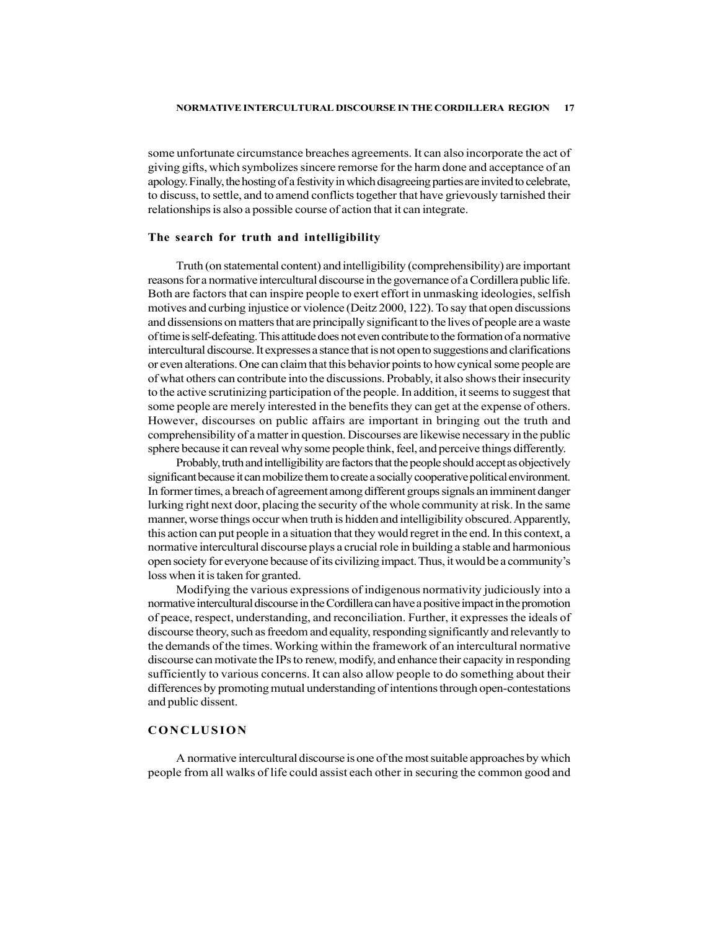some unfortunate circumstance breaches agreements. It can also incorporate the act of giving gifts, which symbolizes sincere remorse for the harm done and acceptance of an apology. Finally, the hosting of a festivity in which disagreeing parties are invited to celebrate, to discuss, to settle, and to amend conflicts together that have grievously tarnished their relationships is also a possible course of action that it can integrate.

### The search for truth and intelligibility

Truth (on statemental content) and intelligibility (comprehensibility) are important reasons for a normative intercultural discourse in the governance of a Cordillera public life. Both are factors that can inspire people to exert effort in unmasking ideologies, selfish motives and curbing injustice or violence (Deitz 2000, 122). To say that open discussions and dissensions on matters that are principally significant to the lives of people are a waste of time is self-defeating. This attitude does not even contribute to the formation of a normative intercultural discourse. It expresses a stance that is not open to suggestions and clarifications or even alterations. One can claim that this behavior points to how cynical some people are of what others can contribute into the discussions. Probably, it also shows their insecurity to the active scrutinizing participation of the people. In addition, it seems to suggest that some people are merely interested in the benefits they can get at the expense of others. However, discourses on public affairs are important in bringing out the truth and comprehensibility of a matter in question. Discourses are likewise necessary in the public sphere because it can reveal why some people think, feel, and perceive things differently.

Probably, truth and intelligibility are factors that the people should accept as objectively significant because it can mobilize them to create a socially cooperative political environment. In former times, a breach of agreement among different groups signals an imminent danger lurking right next door, placing the security of the whole community at risk. In the same manner, worse things occur when truth is hidden and intelligibility obscured. Apparently, this action can put people in a situation that they would regret in the end. In this context, a normative intercultural discourse plays a crucial role in building a stable and harmonious open society for everyone because of its civilizing impact. Thus, it would be a community's loss when it is taken for granted. comprehensibility of a matter in question. Discourses are likewise necessary in the public<br>sphere because it can reveal why some people think, feel, and perceive things differently.<br>Probably, ruth and intelligibility are f

Modifying the various expressions of indigenous normativity judiciously into a normative intercultural discourse in the Cordillera can have a positive impact in the promotion of peace, respect, understanding, and reconciliation. Further, it expresses the ideals of discourse theory, such as freedom and equality, responding significantly and relevantly to the demands of the times. Working within the framework of an intercultural normative discourse can motivate the IPs to renew, modify, and enhance their capacity in responding sufficiently to various concerns. It can also allow people to do something about their differences by promoting mutual understanding of intentions through open-contestations and public dissent.

A normative intercultural discourse is one of the most suitable approaches by which people from all walks of life could assist each other in securing the common good and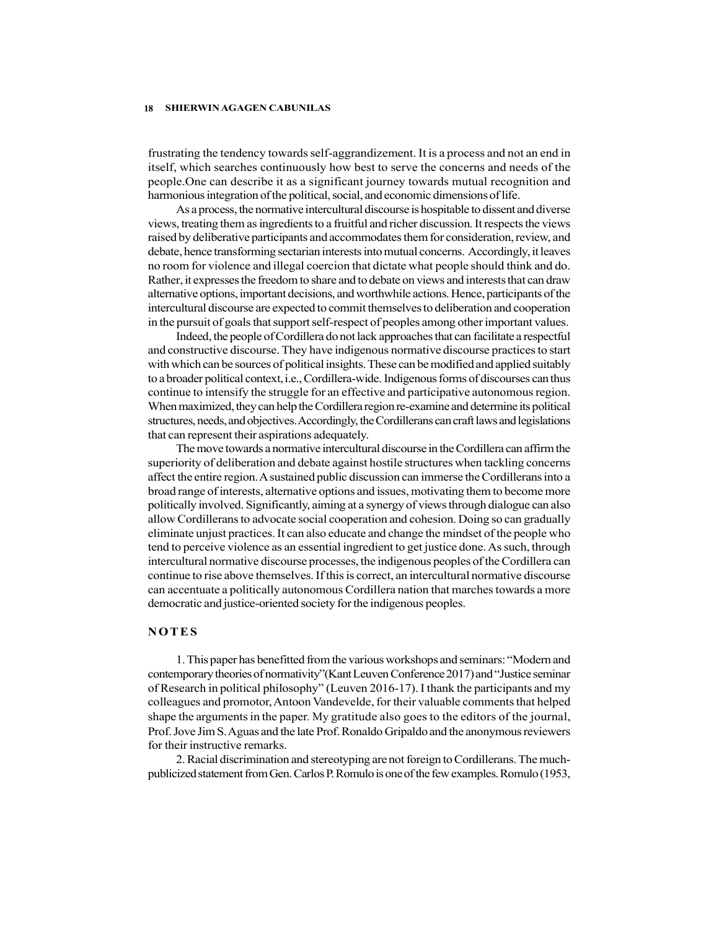frustrating the tendency towards self-aggrandizement. It is a process and not an end in itself, which searches continuously how best to serve the concerns and needs of the people.One can describe it as a significant journey towards mutual recognition and harmonious integration of the political, social, and economic dimensions of life.

As a process, the normative intercultural discourse is hospitable to dissent and diverse views, treating them as ingredients to a fruitful and richer discussion. It respects the views raised by deliberative participants and accommodates them for consideration, review, and debate, hence transforming sectarian interests into mutual concerns. Accordingly, it leaves no room for violence and illegal coercion that dictate what people should think and do. Rather, it expresses the freedom to share and to debate on views and interests that can draw alternative options, important decisions, and worthwhile actions. Hence, participants of the intercultural discourse are expected to commit themselves to deliberation and cooperation in the pursuit of goals that support self-respect of peoples among other important values.

Indeed, the people of Cordillera do not lack approaches that can facilitate a respectful and constructive discourse. They have indigenous normative discourse practices to start with which can be sources of political insights. These can be modified and applied suitably to a broader political context, i.e., Cordillera-wide. Indigenous forms of discourses can thus continue to intensify the struggle for an effective and participative autonomous region. When maximized, they can help the Cordillera region re-examine and determine its political structures, needs, and objectives. Accordingly, the Cordillerans can craft laws and legislations that can represent their aspirations adequately.

The move towards a normative intercultural discourse in the Cordillera can affirm the superiority of deliberation and debate against hostile structures when tackling concerns affect the entire region. A sustained public discussion can immerse the Cordillerans into a broad range of interests, alternative options and issues, motivating them to become more politically involved. Significantly, aiming at a synergy of views through dialogue can also allow Cordillerans to advocate social cooperation and cohesion. Doing so can gradually eliminate unjust practices. It can also educate and change the mindset of the people who tend to perceive violence as an essential ingredient to get justice done. As such, through intercultural normative discourse processes, the indigenous peoples of the Cordillera can continue to rise above themselves. If this is correct, an intercultural normative discourse can accentuate a politically autonomous Cordillera nation that marches towards a more democratic and justice-oriented society for the indigenous peoples. Indeed, the people of Cordillera do not lack approaches that can facilitate a respectful<br>and constructive discousse. They have indigenous normative discouse practices to start<br>with which can be sources of political insight

1. This paper has benefitted from the various workshops and seminars: "Modern and contemporary theories of normativity"(Kant Leuven Conference 2017) and "Justice seminar of Research in political philosophy" (Leuven 2016-17). I thank the participants and my colleagues and promotor, Antoon Vandevelde, for their valuable comments that helped shape the arguments in the paper. My gratitude also goes to the editors of the journal, Prof. Jove Jim S. Aguas and the late Prof. Ronaldo Gripaldo and the anonymous reviewers for their instructive remarks.

2. Racial discrimination and stereotyping are not foreign to Cordillerans. The muchpublicized statement from Gen. Carlos P. Romulo is one of the few examples. Romulo (1953,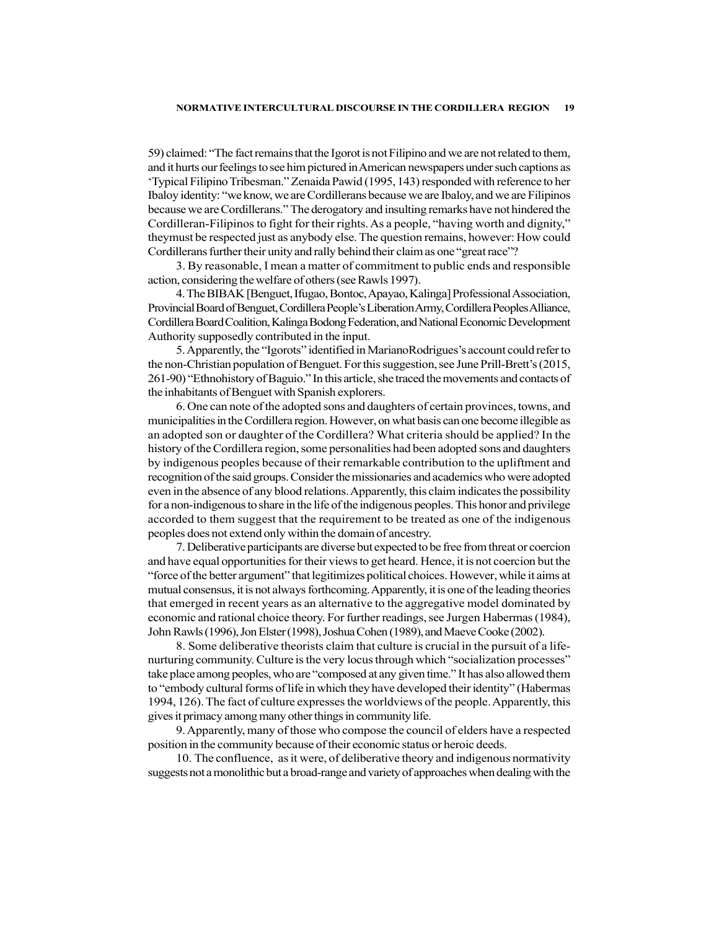59) claimed: "The fact remains that the Igorot is not Filipino and we are not related to them, and it hurts our feelings to see him pictured in American newspapers under such captions as 'Typical Filipino Tribesman." Zenaida Pawid (1995, 143) responded with reference to her Ibaloy identity: "we know, we are Cordillerans because we are Ibaloy, and we are Filipinos because we are Cordillerans." The derogatory and insulting remarks have not hindered the Cordilleran-Filipinos to fight for their rights. As a people, "having worth and dignity," theymust be respected just as anybody else. The question remains, however: How could Cordillerans further their unity and rally behind their claim as one "great race"?

3. By reasonable, I mean a matter of commitment to public ends and responsible action, considering the welfare of others (see Rawls 1997).

4. The BIBAK [Benguet, Ifugao, Bontoc, Apayao, Kalinga] Professional Association, Provincial Board of Benguet, Cordillera People's Liberation Army, Cordillera Peoples Alliance, Cordillera Board Coalition, Kalinga Bodong Federation, and National Economic Development Authority supposedly contributed in the input.

5. Apparently, the "Igorots" identified in MarianoRodrigues's account could refer to the non-Christian population of Benguet. For this suggestion, see June Prill-Brett's (2015, 261-90) "Ethnohistory of Baguio." In this article, she traced the movements and contacts of the inhabitants of Benguet with Spanish explorers.

6. One can note of the adopted sons and daughters of certain provinces, towns, and municipalities in the Cordillera region. However, on what basis can one become illegible as an adopted son or daughter of the Cordillera? What criteria should be applied? In the history of the Cordillera region, some personalities had been adopted sons and daughters by indigenous peoples because of their remarkable contribution to the upliftment and recognition of the said groups. Consider the missionaries and academics who were adopted even in the absence of any blood relations. Apparently, this claim indicates the possibility for a non-indigenous to share in the life of the indigenous peoples. This honor and privilege accorded to them suggest that the requirement to be treated as one of the indigenous peoples does not extend only within the domain of ancestry.

7. Deliberative participants are diverse but expected to be free from threat or coercion and have equal opportunities for their views to get heard. Hence, it is not coercion but the "force of the better argument" that legitimizes political choices. However, while it aims at mutual consensus, it is not always forthcoming. Apparently, it is one of the leading theories that emerged in recent years as an alternative to the aggregative model dominated by economic and rational choice theory. For further readings, see Jurgen Habermas (1984), John Rawls (1996), Jon Elster (1998), Joshua Cohen (1989), and Maeve Cooke (2002).

8. Some deliberative theorists claim that culture is crucial in the pursuit of a lifenurturing community. Culture is the very locus through which "socialization processes" take place among peoples, who are "composed at any given time." It has also allowed them to "embody cultural forms of life in which they have developed their identity" (Habermas 1994, 126). The fact of culture expresses the worldviews of the people. Apparently, this gives it primacy among many other things in community life.

9. Apparently, many of those who compose the council of elders have a respected position in the community because of their economic status or heroic deeds.

10. The confluence, as it were, of deliberative theory and indigenous normativity suggests not a monolithic but a broad-range and variety of approaches when dealing with the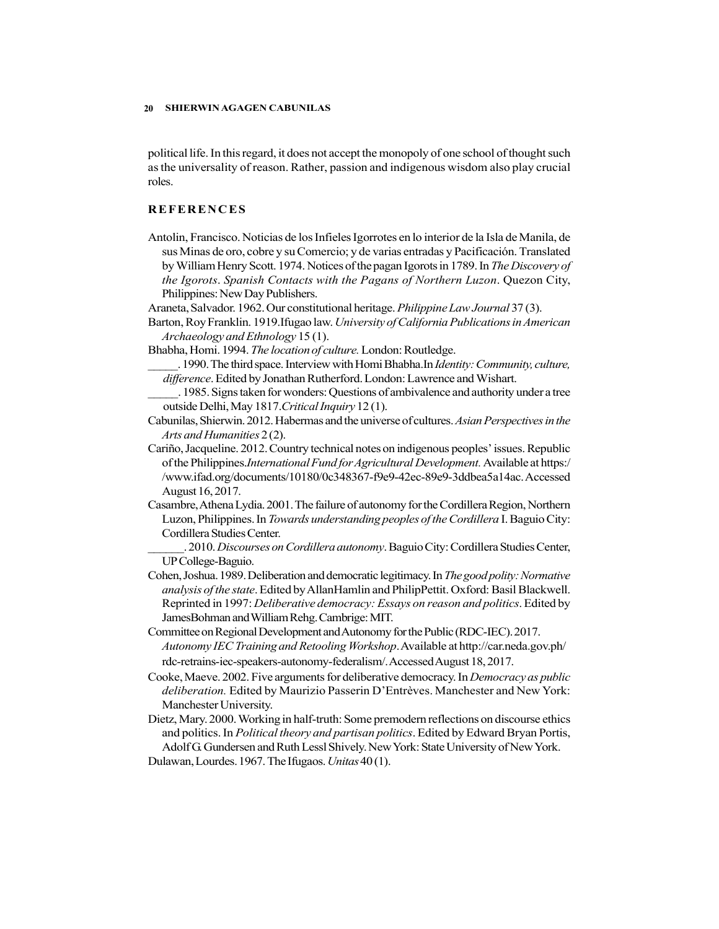political life. In this regard, it does not accept the monopoly of one school of thought such as the universality of reason. Rather, passion and indigenous wisdom also play crucial roles.

- 9<br> **SHIERWIN AGAGEN CABUNILAS**<br>
political life. In this regard, it does not accept the monopoly of one school of thought such<br>
as the universality of reason. Rather, passion and indigenous wisdom also play crucial<br>
roles.<br> Antolin, Francisco. Noticias de los Infieles Igorrotes en lo interior de la Isla de Manila, de sus Minas de oro, cobre y su Comercio; y de varias entradas y Pacificación. Translated by William Henry Scott. 1974. Notices of the pagan Igorots in 1789. In The Discovery of the Igorots. Spanish Contacts with the Pagans of Northern Luzon. Quezon City, Philippines: New Day Publishers.
- Araneta, Salvador. 1962. Our constitutional heritage. Philippine Law Journal 37 (3).
- Barton, Roy Franklin. 1919.Ifugao law. University of California Publications in American Archaeology and Ethnology 15 (1).
- Bhabha, Homi. 1994. The location of culture. London: Routledge.
- . 1990. The third space. Interview with Homi Bhabha.In *Identity: Community, culture,* difference. Edited by Jonathan Rutherford. London: Lawrence and Wishart.
- \_\_\_\_\_. 1985. Signs taken for wonders: Questions of ambivalence and authority under a tree outside Delhi, May 1817.Critical Inquiry 12 (1).
- Cabunilas, Shierwin. 2012. Habermas and the universe of cultures. Asian Perspectives in the Arts and Humanities 2 (2).
- Cariño, Jacqueline. 2012. Country technical notes on indigenous peoples' issues. Republic of the Philippines.International Fund for Agricultural Development. Available at https:/ /www.ifad.org/documents/10180/0c348367-f9e9-42ec-89e9-3ddbea5a14ac. Accessed August 16, 2017.
- Casambre, Athena Lydia. 2001. The failure of autonomy for the Cordillera Region, Northern Luzon, Philippines. In *Towards understanding peoples of the Cordillera I*. Baguio City: Cordillera Studies Center.

2010. Discourses on Cordillera autonomy. Baguio City: Cordillera Studies Center, UP College-Baguio.

- Cohen, Joshua. 1989. Deliberation and democratic legitimacy. In The good polity: Normative analysis of the state. Edited by AllanHamlin and PhilipPettit. Oxford: Basil Blackwell. Reprinted in 1997: Deliberative democracy: Essays on reason and politics. Edited by JamesBohman and William Rehg. Cambrige: MIT.
- Committee on Regional Development and Autonomy for the Public (RDC-IEC). 2017. Autonomy IEC Training and Retooling Workshop. Available at http://car.neda.gov.ph/ rdc-retrains-iec-speakers-autonomy-federalism/. Accessed August 18, 2017.
- Cooke, Maeve. 2002. Five arguments for deliberative democracy. In Democracy as public deliberation. Edited by Maurizio Passerin D'Entrèves. Manchester and New York: Manchester University.
- Dietz, Mary. 2000. Working in half-truth: Some premodern reflections on discourse ethics and politics. In Political theory and partisan politics. Edited by Edward Bryan Portis, Adolf G. Gundersen and Ruth Lessl Shively. New York: State University of New York. Dulawan, Lourdes. 1967. The Ifugaos. Unitas 40 (1).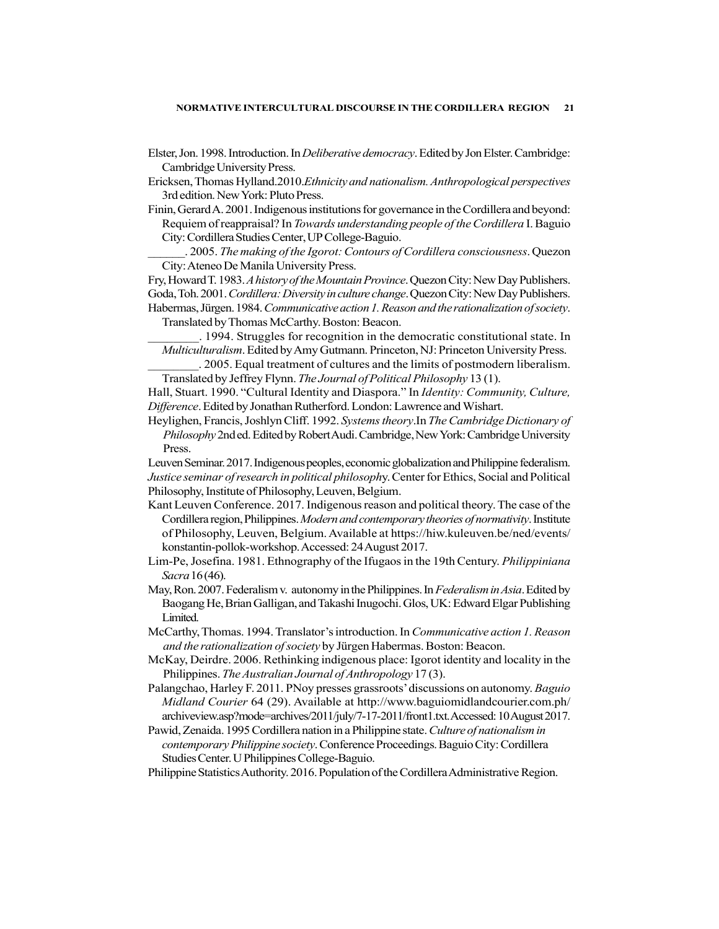- Elster, Jon. 1998. Introduction. In Deliberative democracy. Edited by Jon Elster. Cambridge: Cambridge University Press.
- Ericksen, Thomas Hylland.2010.Ethnicity and nationalism. Anthropological perspectives 3rd edition. New York: Pluto Press.
- Finin, Gerard A. 2001. Indigenous institutions for governance in the Cordillera and beyond: Requiem of reappraisal? In Towards understanding people of the Cordillera I. Baguio City: Cordillera Studies Center, UP College-Baguio.
	- 2005. The making of the Igorot: Contours of Cordillera consciousness. Quezon City: Ateneo De Manila University Press.
- Fry, Howard T. 1983. A history of the Mountain Province. Quezon City: New Day Publishers.
- Goda, Toh. 2001. Cordillera: Diversity in culture change. Quezon City: New Day Publishers. Habermas, Jürgen. 1984. Communicative action 1. Reason and the rationalization of society.

Translated by Thomas McCarthy. Boston: Beacon.

- \_\_\_\_\_\_\_\_. 1994. Struggles for recognition in the democratic constitutional state. In Multiculturalism. Edited by Amy Gutmann. Princeton, NJ: Princeton University Press.
- \_\_\_\_\_\_\_\_. 2005. Equal treatment of cultures and the limits of postmodern liberalism. Translated by Jeffrey Flynn. The Journal of Political Philosophy 13 (1).

Hall, Stuart. 1990. "Cultural Identity and Diaspora." In Identity: Community, Culture, Difference. Edited by Jonathan Rutherford. London: Lawrence and Wishart.

Heylighen, Francis, Joshlyn Cliff. 1992. Systems theory.In The Cambridge Dictionary of Philosophy 2nd ed. Edited by Robert Audi. Cambridge, New York: Cambridge University Press.

Leuven Seminar. 2017. Indigenous peoples, economic globalization and Philippine federalism. Justice seminar of research in political philosophy. Center for Ethics, Social and Political Philosophy, Institute of Philosophy, Leuven, Belgium.

- Kant Leuven Conference. 2017. Indigenous reason and political theory. The case of the Cordillera region, Philippines. Modern and contemporary theories of normativity. Institute of Philosophy, Leuven, Belgium. Available at https://hiw.kuleuven.be/ned/events/ konstantin-pollok-workshop. Accessed: 24 August 2017.
- Lim-Pe, Josefina. 1981. Ethnography of the Ifugaos in the 19th Century. Philippiniana Sacra 16 (46).
- May, Ron. 2007. Federalism v. autonomy in the Philippines. In Federalism in Asia. Edited by Baogang He, Brian Galligan, and Takashi Inugochi. Glos, UK: Edward Elgar Publishing Limited.
- McCarthy, Thomas. 1994. Translator's introduction. In Communicative action 1. Reason and the rationalization of society by Jürgen Habermas. Boston: Beacon.
- McKay, Deirdre. 2006. Rethinking indigenous place: Igorot identity and locality in the Philippines. The Australian Journal of Anthropology 17 (3).
- Palangchao, Harley F. 2011. PNoy presses grassroots' discussions on autonomy. Baguio Midland Courier 64 (29). Available at http://www.baguiomidlandcourier.com.ph/ archiveview.asp?mode=archives/2011/july/7-17-2011/front1.txt. Accessed: 10 August 2017.
- Pawid, Zenaida. 1995 Cordillera nation in a Philippine state. Culture of nationalism in contemporary Philippine society. Conference Proceedings. Baguio City: Cordillera Studies Center. U Philippines College-Baguio.
- Philippine Statistics Authority. 2016. Population of the Cordillera Administrative Region.